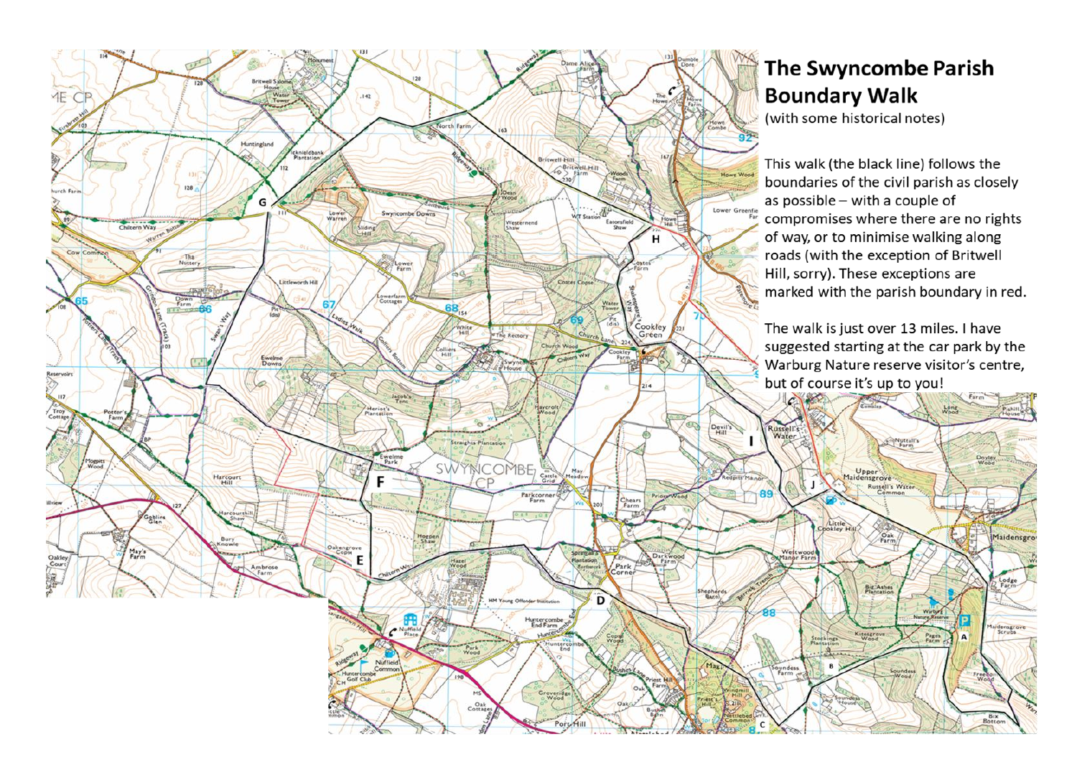

## The Swyncombe Parish **Boundary Walk**

(with some historical notes)

This walk (the black line) follows the boundaries of the civil parish as closely as possible - with a couple of compromises where there are no rights of way, or to minimise walking along roads (with the exception of Britwell Hill, sorry). These exceptions are marked with the parish boundary in red.

The walk is just over 13 miles. I have suggested starting at the car park by the Warburg Nature reserve visitor's centre, but of course it's up to you!

Nuttall's

Russell's Water

Pak<br>Parm

Big Ashes

Long

Narbyra

Pages

Doyle

Maidensgro

Lodge<br>Farm-

taidensgrov